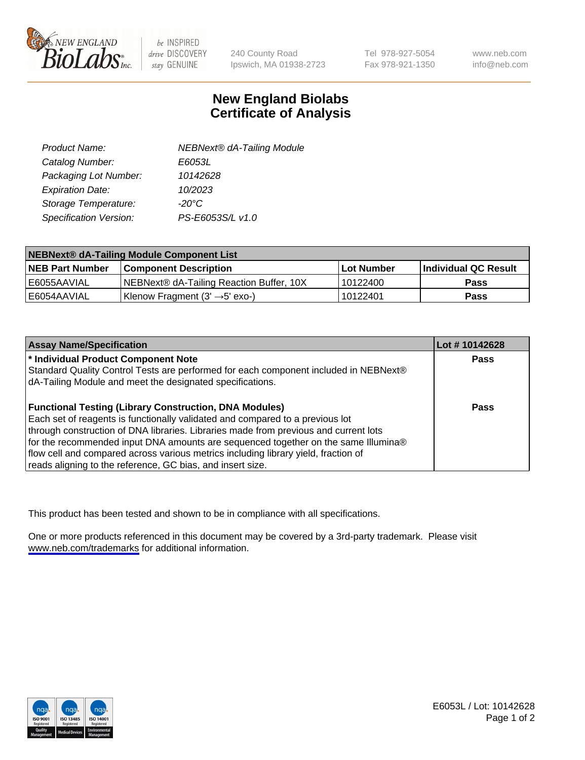

be INSPIRED drive DISCOVERY stay GENUINE

240 County Road Ipswich, MA 01938-2723 Tel 978-927-5054 Fax 978-921-1350

www.neb.com info@neb.com

## **New England Biolabs Certificate of Analysis**

| <b>NEBNext® dA-Tailing Module</b> |
|-----------------------------------|
| E6053L                            |
| 10142628                          |
| 10/2023                           |
| $-20^{\circ}$ C                   |
| PS-E6053S/L v1.0                  |
|                                   |

| NEBNext® dA-Tailing Module Component List |                                            |                   |                      |  |
|-------------------------------------------|--------------------------------------------|-------------------|----------------------|--|
| <b>NEB Part Number</b>                    | <b>Component Description</b>               | <b>Lot Number</b> | Individual QC Result |  |
| E6055AAVIAL                               | NEBNext® dA-Tailing Reaction Buffer, 10X   | 10122400          | <b>Pass</b>          |  |
| E6054AAVIAL                               | Klenow Fragment $(3' \rightarrow 5'$ exo-) | 10122401          | <b>Pass</b>          |  |

| <b>Assay Name/Specification</b>                                                      | Lot #10142628 |
|--------------------------------------------------------------------------------------|---------------|
| * Individual Product Component Note                                                  | <b>Pass</b>   |
| Standard Quality Control Tests are performed for each component included in NEBNext® |               |
| dA-Tailing Module and meet the designated specifications.                            |               |
|                                                                                      |               |
| <b>Functional Testing (Library Construction, DNA Modules)</b>                        | Pass          |
| Each set of reagents is functionally validated and compared to a previous lot        |               |
| through construction of DNA libraries. Libraries made from previous and current lots |               |
| for the recommended input DNA amounts are sequenced together on the same Illumina®   |               |
| flow cell and compared across various metrics including library yield, fraction of   |               |
| reads aligning to the reference, GC bias, and insert size.                           |               |

This product has been tested and shown to be in compliance with all specifications.

One or more products referenced in this document may be covered by a 3rd-party trademark. Please visit <www.neb.com/trademarks>for additional information.